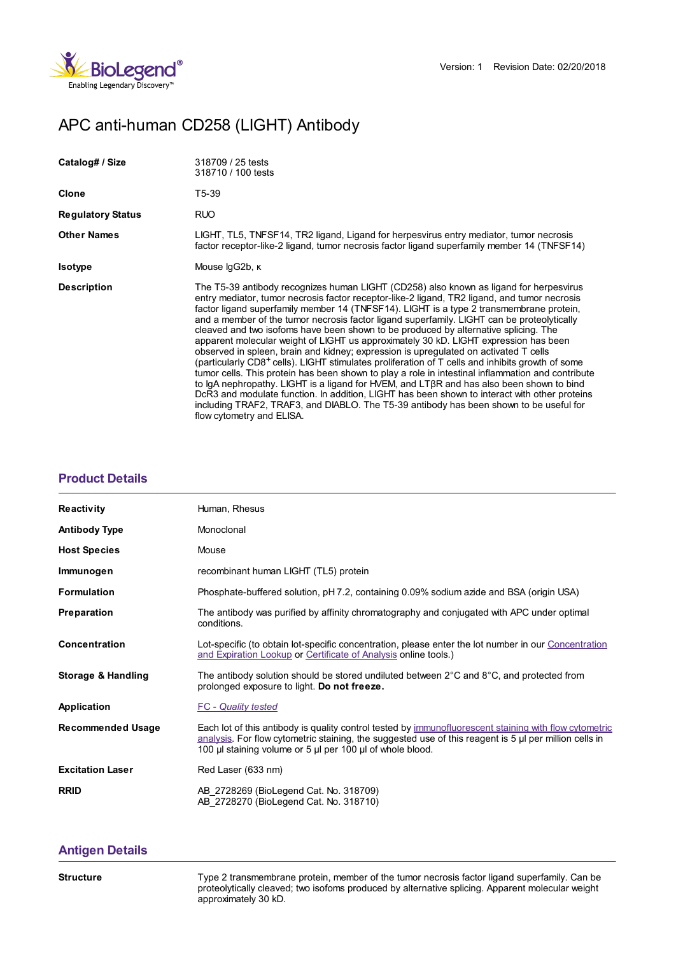

# APC anti-human CD258 (LIGHT) Antibody

| Catalog# / Size          | 318709 / 25 tests<br>318710 / 100 tests                                                                                                                                                                                                                                                                                                                                                                                                                                                                                                                                                                                                                                                                                                                                                                                                                                                                                                                                                                                                                                                                                                                                                         |
|--------------------------|-------------------------------------------------------------------------------------------------------------------------------------------------------------------------------------------------------------------------------------------------------------------------------------------------------------------------------------------------------------------------------------------------------------------------------------------------------------------------------------------------------------------------------------------------------------------------------------------------------------------------------------------------------------------------------------------------------------------------------------------------------------------------------------------------------------------------------------------------------------------------------------------------------------------------------------------------------------------------------------------------------------------------------------------------------------------------------------------------------------------------------------------------------------------------------------------------|
| Clone                    | T5-39                                                                                                                                                                                                                                                                                                                                                                                                                                                                                                                                                                                                                                                                                                                                                                                                                                                                                                                                                                                                                                                                                                                                                                                           |
| <b>Regulatory Status</b> | <b>RUO</b>                                                                                                                                                                                                                                                                                                                                                                                                                                                                                                                                                                                                                                                                                                                                                                                                                                                                                                                                                                                                                                                                                                                                                                                      |
| <b>Other Names</b>       | LIGHT, TL5, TNFSF14, TR2 ligand, Ligand for herpesvirus entry mediator, tumor necrosis<br>factor receptor-like-2 ligand, tumor necrosis factor ligand superfamily member 14 (TNFSF14)                                                                                                                                                                                                                                                                                                                                                                                                                                                                                                                                                                                                                                                                                                                                                                                                                                                                                                                                                                                                           |
| <b>Isotype</b>           | Mouse IgG2b, K                                                                                                                                                                                                                                                                                                                                                                                                                                                                                                                                                                                                                                                                                                                                                                                                                                                                                                                                                                                                                                                                                                                                                                                  |
| <b>Description</b>       | The T5-39 antibody recognizes human LIGHT (CD258) also known as ligand for herpesvirus<br>entry mediator, tumor necrosis factor receptor-like-2 ligand, TR2 ligand, and tumor necrosis<br>factor ligand superfamily member 14 (TNFSF14). LIGHT is a type 2 transmembrane protein,<br>and a member of the tumor necrosis factor ligand superfamily. LIGHT can be proteolytically<br>cleaved and two isofoms have been shown to be produced by alternative splicing. The<br>apparent molecular weight of LIGHT us approximately 30 kD. LIGHT expression has been<br>observed in spleen, brain and kidney; expression is upregulated on activated T cells<br>(particularly CD8 <sup>+</sup> cells). LIGHT stimulates proliferation of T cells and inhibits growth of some<br>tumor cells. This protein has been shown to play a role in intestinal inflammation and contribute<br>to IgA nephropathy. LIGHT is a ligand for HVEM, and LTBR and has also been shown to bind<br>DcR3 and modulate function. In addition, LIGHT has been shown to interact with other proteins<br>including TRAF2, TRAF3, and DIABLO. The T5-39 antibody has been shown to be useful for<br>flow cytometry and ELISA. |

## **[Product](https://www.biolegend.com/en-us/products/apc-anti-human-cd258-light-antibody-15489?pdf=true&displayInline=true&leftRightMargin=15&topBottomMargin=15&filename=APC anti-human CD258 (LIGHT) Antibody.pdf#productDetails) Details**

| <b>Reactivity</b>        | Human, Rhesus                                                                                                                                                                                                                                                                 |
|--------------------------|-------------------------------------------------------------------------------------------------------------------------------------------------------------------------------------------------------------------------------------------------------------------------------|
| <b>Antibody Type</b>     | Monoclonal                                                                                                                                                                                                                                                                    |
| <b>Host Species</b>      | Mouse                                                                                                                                                                                                                                                                         |
| Immunogen                | recombinant human LIGHT (TL5) protein                                                                                                                                                                                                                                         |
| <b>Formulation</b>       | Phosphate-buffered solution, pH 7.2, containing 0.09% sodium azide and BSA (origin USA)                                                                                                                                                                                       |
| Preparation              | The antibody was purified by affinity chromatography and conjugated with APC under optimal<br>conditions.                                                                                                                                                                     |
| Concentration            | Lot-specific (to obtain lot-specific concentration, please enter the lot number in our Concentration<br>and Expiration Lookup or Certificate of Analysis online tools.)                                                                                                       |
| Storage & Handling       | The antibody solution should be stored undiluted between $2^{\circ}$ C and $8^{\circ}$ C, and protected from<br>prolonged exposure to light. Do not freeze.                                                                                                                   |
| Application              | <b>FC</b> - Quality tested                                                                                                                                                                                                                                                    |
| <b>Recommended Usage</b> | Each lot of this antibody is quality control tested by immunofluorescent staining with flow cytometric<br>analysis. For flow cytometric staining, the suggested use of this reagent is 5 µl per million cells in<br>100 µl staining volume or 5 µl per 100 µl of whole blood. |
| <b>Excitation Laser</b>  | Red Laser (633 nm)                                                                                                                                                                                                                                                            |
| <b>RRID</b>              | AB 2728269 (BioLegend Cat. No. 318709)<br>AB 2728270 (BioLegend Cat. No. 318710)                                                                                                                                                                                              |

## **[Antigen](https://www.biolegend.com/en-us/products/apc-anti-human-cd258-light-antibody-15489?pdf=true&displayInline=true&leftRightMargin=15&topBottomMargin=15&filename=APC anti-human CD258 (LIGHT) Antibody.pdf#antigenDetails) Details**

**Structure** Type 2 transmembrane protein, member of the tumor necrosis factor ligand superfamily. Can be proteolytically cleaved; two isofoms produced by alternative splicing. Apparent molecular weight approximately 30 kD.